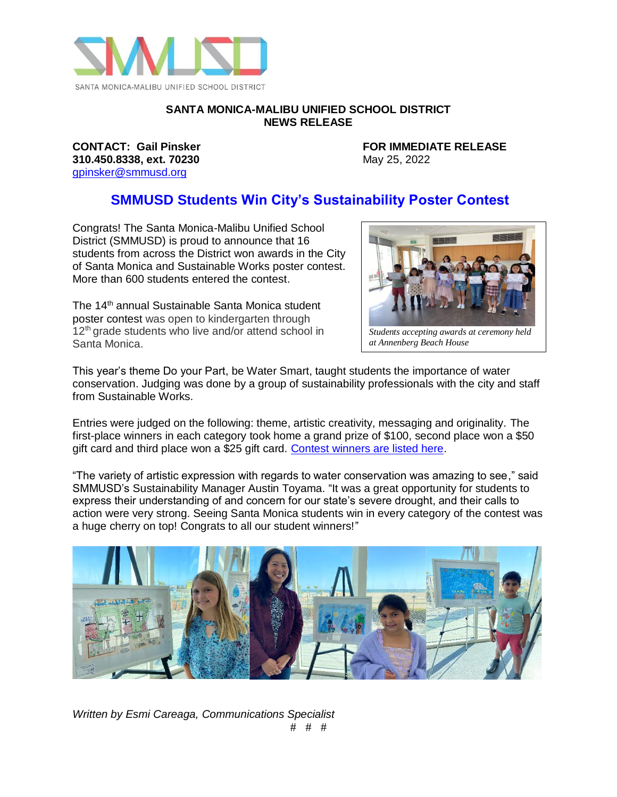

## **SANTA MONICA-MALIBU UNIFIED SCHOOL DISTRICT NEWS RELEASE**

**310.450.8338, ext. 70230** May 25, 2022 [gpinsker@smmusd.org](mailto:gpinsker@smmusd.org)

**CONTACT: Gail Pinsker FOR IMMEDIATE RELEASE**

## **SMMUSD Students Win City's Sustainability Poster Contest**

Congrats! The Santa Monica-Malibu Unified School District (SMMUSD) is proud to announce that 16 students from across the District won awards in the City of Santa Monica and Sustainable Works poster contest. More than 600 students entered the contest.

The 14<sup>th</sup> annual Sustainable Santa Monica student poster contest was open to kindergarten through  $12<sup>th</sup>$  grade students who live and/or attend school in Santa Monica.



*Students accepting awards at ceremony held at Annenberg Beach House*

This year's theme Do your Part, be Water Smart, taught students the importance of water at a greater theme be year Fart, be water email, taught etablished the importance of water<br>conservation. Judging was done by a group of sustainability professionals with the city and staff from Sustainable Works.

Entries were judged on the following: theme, artistic creativity, messaging and originality. The first-place winners in each category took home a grand prize of \$100, second place won a \$50 gift card and third place won a \$25 gift card. [Contest winners are listed here.](https://drive.google.com/file/d/1SuityB7rM_sxY6lQWAeCa9_IOOVEwuSq/view?usp=sharing)

"The variety of artistic expression with regards to water conservation was amazing to see," said SMMUSD's Sustainability Manager Austin Toyama. "It was a great opportunity for students to express their understanding of and concern for our state's severe drought, and their calls to action were very strong. Seeing Santa Monica students win in every category of the contest was a huge cherry on top! Congrats to all our student winners!"



*Written by Esmi Careaga, Communications Specialist* # # #